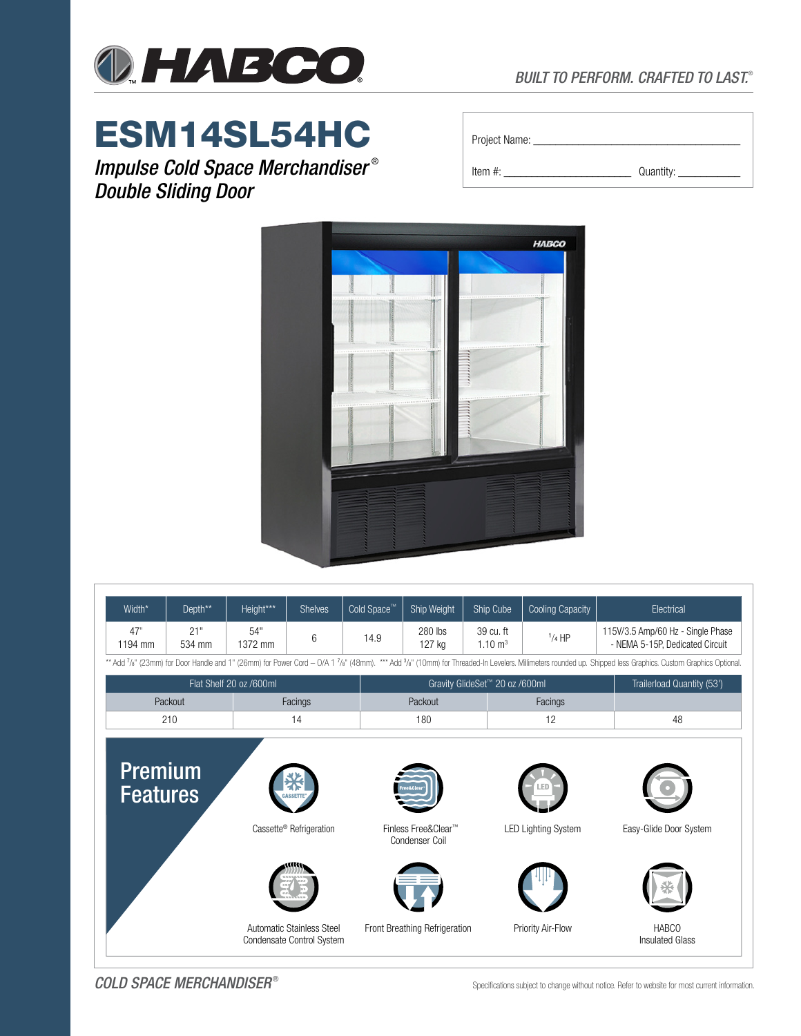

## *BUILT TO PERFORM. CRAFTED TO LAST.*®

# ESM14SL54HC

*Impulse Cold Space Merchandiser* ® *Double Sliding Door*

| Project Name: |  |
|---------------|--|
|               |  |

Item #: \_\_\_\_\_\_\_\_\_\_\_\_\_\_\_\_\_\_\_\_\_\_\_ Quantity: \_\_\_\_\_\_\_\_\_\_\_



| Width*                                                                                                                                                                                                      | Depth**       | Height***      | <b>Shelves</b>                                         | Cold Space™ | Ship Weight                           | Ship Cube                       | <b>Cooling Capacity</b>    | Electrical                                                           |  |  |
|-------------------------------------------------------------------------------------------------------------------------------------------------------------------------------------------------------------|---------------|----------------|--------------------------------------------------------|-------------|---------------------------------------|---------------------------------|----------------------------|----------------------------------------------------------------------|--|--|
| 47"<br>1194 mm                                                                                                                                                                                              | 21"<br>534 mm | 54"<br>1372 mm | 6                                                      | 14.9        | 280 lbs<br>127 kg                     | 39 cu. ft<br>$1.10 \text{ m}^3$ | $1/4$ HP                   | 115V/3.5 Amp/60 Hz - Single Phase<br>- NEMA 5-15P, Dedicated Circuit |  |  |
| ** Add 7/8" (23mm) for Door Handle and 1" (26mm) for Power Cord - O/A 1 7/8" (48mm). *** Add 3/8" (10mm) for Threaded-In Levelers. Millimeters rounded up. Shipped less Graphics. Custom Graphics Optional. |               |                |                                                        |             |                                       |                                 |                            |                                                                      |  |  |
| Flat Shelf 20 oz /600ml                                                                                                                                                                                     |               |                |                                                        |             | Gravity GlideSet™ 20 oz /600ml        | Trailerload Quantity (53')      |                            |                                                                      |  |  |
| Packout                                                                                                                                                                                                     |               | Facings        |                                                        |             | Packout                               |                                 | Facings                    |                                                                      |  |  |
|                                                                                                                                                                                                             | 210           |                | 14                                                     |             | 180                                   |                                 | 12                         | 48                                                                   |  |  |
| <b>Premium</b><br><b>Features</b>                                                                                                                                                                           |               |                | Cassette <sup>®</sup> Refrigeration                    |             | Finless Free&Clear™<br>Condenser Coil |                                 | <b>LED Lighting System</b> | Easy-Glide Door System                                               |  |  |
|                                                                                                                                                                                                             |               |                | Automatic Stainless Steel<br>Condensate Control System |             | Front Breathing Refrigeration         |                                 | Priority Air-Flow          | <b>HABCO</b><br><b>Insulated Glass</b>                               |  |  |